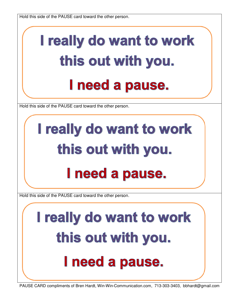Hold this side of the PAUSE card toward the other person.

## I really do want to work this out with you. I need a pause.

Hold this side of the PAUSE card toward the other person.

## I really do want to work this out with you. I need a pause.

Hold this side of the PAUSE card toward the other person.

## I really do want to work this out with you. I need a pause.

PAUSE CARD compliments of Bren Hardt, Win-Win-Communication.com, 713-303-3403, bbhardt@gmail.com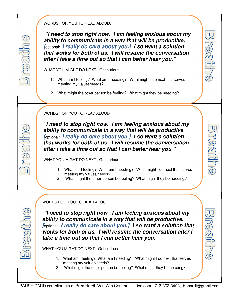## WORDS FOR YOU TO READ ALOUD.

 **"I need to stop right now. I am feeling anxious about my ability to communicate in a way that will be productive. [**optional: **I really do care about you.] I so want a solution that works for both of us. I will resume the conversation after I take a time out so that I can better hear you."** 

pleer

<u>nijeen</u>

pear:

WHAT YOU MIGHT DO NEXT: Get curious.

- 1. What am I feeling? What am I needing? What might I do next that serves meeting my values/needs?
- 2. What might the other person be feeling? What might they be needing?

WORDS FOR YOU TO READ ALOUD.

 $\Box$ 

 $\cap$ 

 $\overline{\frac{\sqrt{10}}{45}}$ 

 $\Box$ 

**"I need to stop right now. I am feeling anxious about my ability to communicate in a way that will be productive. [**optional: **I really do care about you.] I so want a solution that works for both of us. I will resume the conversation after I take a time out so that I can better hear you."** 

WHAT YOU MIGHT DO NEXT: Get curious.

- 1. What am I feeling? What am I needing? What might I do next that serves meeting my values/needs?
- 2. What might the other person be feeling? What might they be needing?

WORDS FOR YOU TO READ ALOUD.

 **"I need to stop right now. I am feeling anxious about my ability to communicate in a way that will be productive. [**optional: **I really do care about you.] I so want a solution that works for both of us. I will resume the conversation after I take a time out so that I can better hear you."** 

WHAT YOU MIGHT DO NEXT: Get curious

- 1. What am I feeling? What am I needing? What might I do next that serves meeting my values/needs?
- 2. What might the other person be feeling? What might they be needing?